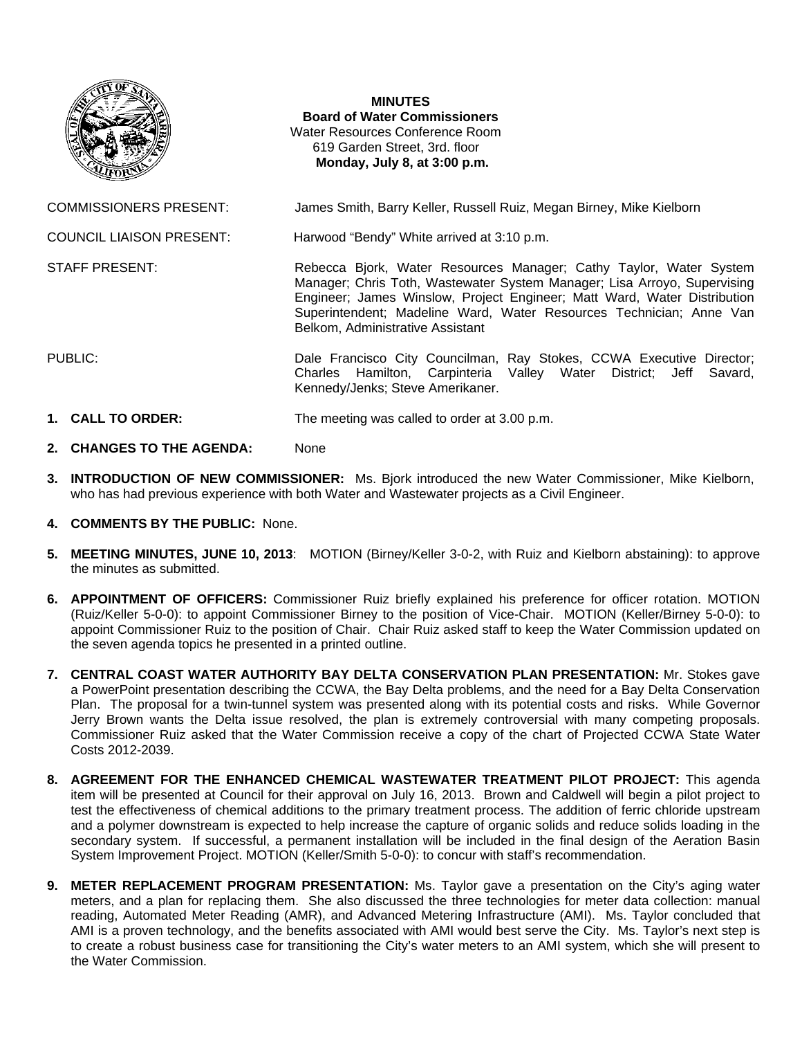

**MINUTES Board of Water Commissioners**  Water Resources Conference Room 619 Garden Street, 3rd. floor  **Monday, July 8, at 3:00 p.m.** 

COMMISSIONERS PRESENT: James Smith, Barry Keller, Russell Ruiz, Megan Birney, Mike Kielborn

COUNCIL LIAISON PRESENT: Harwood "Bendy" White arrived at 3:10 p.m.

STAFF PRESENT: **Rebecca Bjork, Water Resources Manager**; Cathy Taylor, Water System

Belkom, Administrative Assistant PUBLIC: Dale Francisco City Councilman, Ray Stokes, CCWA Executive Director; Charles Hamilton, Carpinteria Valley Water District; Jeff Savard,

Manager; Chris Toth, Wastewater System Manager; Lisa Arroyo, Supervising Engineer; James Winslow, Project Engineer; Matt Ward, Water Distribution Superintendent; Madeline Ward, Water Resources Technician; Anne Van

- **1. CALL TO ORDER:** The meeting was called to order at 3.00 p.m.
- **2. CHANGES TO THE AGENDA:** None
- **3. INTRODUCTION OF NEW COMMISSIONER:** Ms. Bjork introduced the new Water Commissioner, Mike Kielborn, who has had previous experience with both Water and Wastewater projects as a Civil Engineer.

Kennedy/Jenks; Steve Amerikaner.

- **4. COMMENTS BY THE PUBLIC:** None.
- **5. MEETING MINUTES, JUNE 10, 2013**: MOTION (Birney/Keller 3-0-2, with Ruiz and Kielborn abstaining): to approve the minutes as submitted.
- **6. APPOINTMENT OF OFFICERS:** Commissioner Ruiz briefly explained his preference for officer rotation. MOTION (Ruiz/Keller 5-0-0): to appoint Commissioner Birney to the position of Vice-Chair. MOTION (Keller/Birney 5-0-0): to appoint Commissioner Ruiz to the position of Chair. Chair Ruiz asked staff to keep the Water Commission updated on the seven agenda topics he presented in a printed outline.
- **7. CENTRAL COAST WATER AUTHORITY BAY DELTA CONSERVATION PLAN PRESENTATION:** Mr. Stokes gave a PowerPoint presentation describing the CCWA, the Bay Delta problems, and the need for a Bay Delta Conservation Plan. The proposal for a twin-tunnel system was presented along with its potential costs and risks. While Governor Jerry Brown wants the Delta issue resolved, the plan is extremely controversial with many competing proposals. Commissioner Ruiz asked that the Water Commission receive a copy of the chart of Projected CCWA State Water Costs 2012-2039.
- **8. AGREEMENT FOR THE ENHANCED CHEMICAL WASTEWATER TREATMENT PILOT PROJECT:** This agenda item will be presented at Council for their approval on July 16, 2013. Brown and Caldwell will begin a pilot project to test the effectiveness of chemical additions to the primary treatment process. The addition of ferric chloride upstream and a polymer downstream is expected to help increase the capture of organic solids and reduce solids loading in the secondary system. If successful, a permanent installation will be included in the final design of the Aeration Basin System Improvement Project. MOTION (Keller/Smith 5-0-0): to concur with staff's recommendation.
- **9. METER REPLACEMENT PROGRAM PRESENTATION:** Ms. Taylor gave a presentation on the City's aging water meters, and a plan for replacing them. She also discussed the three technologies for meter data collection: manual reading, Automated Meter Reading (AMR), and Advanced Metering Infrastructure (AMI). Ms. Taylor concluded that AMI is a proven technology, and the benefits associated with AMI would best serve the City. Ms. Taylor's next step is to create a robust business case for transitioning the City's water meters to an AMI system, which she will present to the Water Commission.